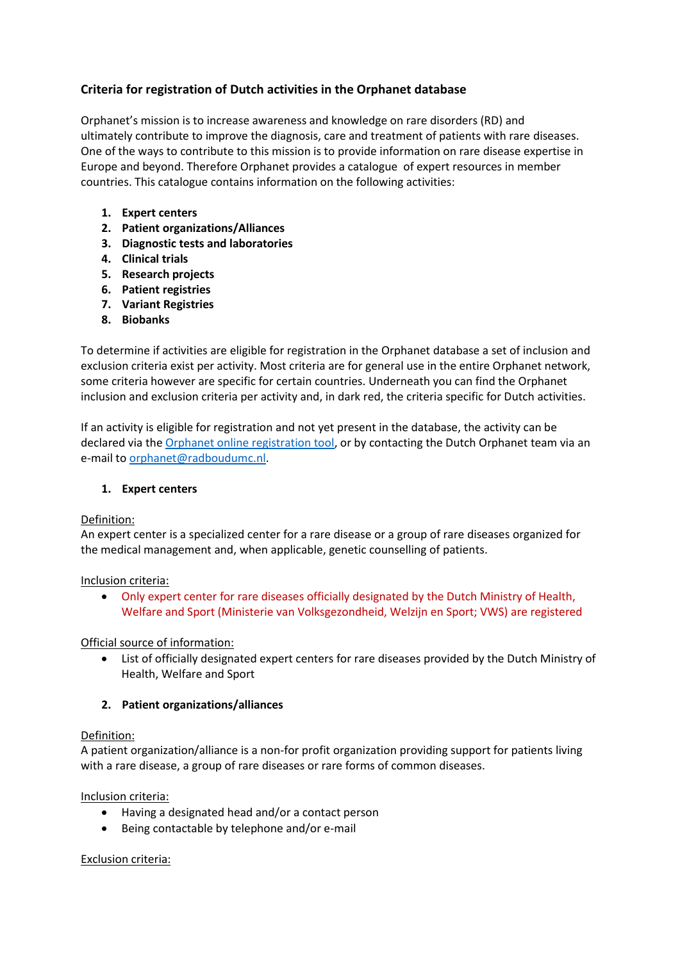# **Criteria for registration of Dutch activities in the Orphanet database**

Orphanet's mission is to increase awareness and knowledge on rare disorders (RD) and ultimately contribute to improve the diagnosis, care and treatment of patients with rare diseases. One of the ways to contribute to this mission is to provide information on rare disease expertise in Europe and beyond. Therefore Orphanet provides a catalogue of expert resources in member countries. This catalogue contains information on the following activities:

- **1. Expert centers**
- **2. Patient organizations/Alliances**
- **3. Diagnostic tests and laboratories**
- **4. Clinical trials**
- **5. Research projects**
- **6. Patient registries**
- **7. Variant Registries**
- **8. Biobanks**

To determine if activities are eligible for registration in the Orphanet database a set of inclusion and exclusion criteria exist per activity. Most criteria are for general use in the entire Orphanet network, some criteria however are specific for certain countries. Underneath you can find the Orphanet inclusion and exclusion criteria per activity and, in dark red, the criteria specific for Dutch activities.

If an activity is eligible for registration and not yet present in the database, the activity can be declared via the [Orphanet online registration tool,](https://www.orpha.net/professor/htdocs/) or by contacting the Dutch Orphanet team via an e-mail to [orphanet@radboudumc.nl.](mailto:orphanet@radboudumc.nl)

### **1. Expert centers**

### Definition:

An expert center is a specialized center for a rare disease or a group of rare diseases organized for the medical management and, when applicable, genetic counselling of patients.

### Inclusion criteria:

• Only expert center for rare diseases officially designated by the Dutch Ministry of Health, Welfare and Sport (Ministerie van Volksgezondheid, Welzijn en Sport; VWS) are registered

### Official source of information:

• List of officially designated expert centers for rare diseases provided by the Dutch Ministry of Health, Welfare and Sport

### **2. Patient organizations/alliances**

### Definition:

A patient organization/alliance is a non-for profit organization providing support for patients living with a rare disease, a group of rare diseases or rare forms of common diseases.

Inclusion criteria:

- Having a designated head and/or a contact person
- Being contactable by telephone and/or e-mail

### Exclusion criteria: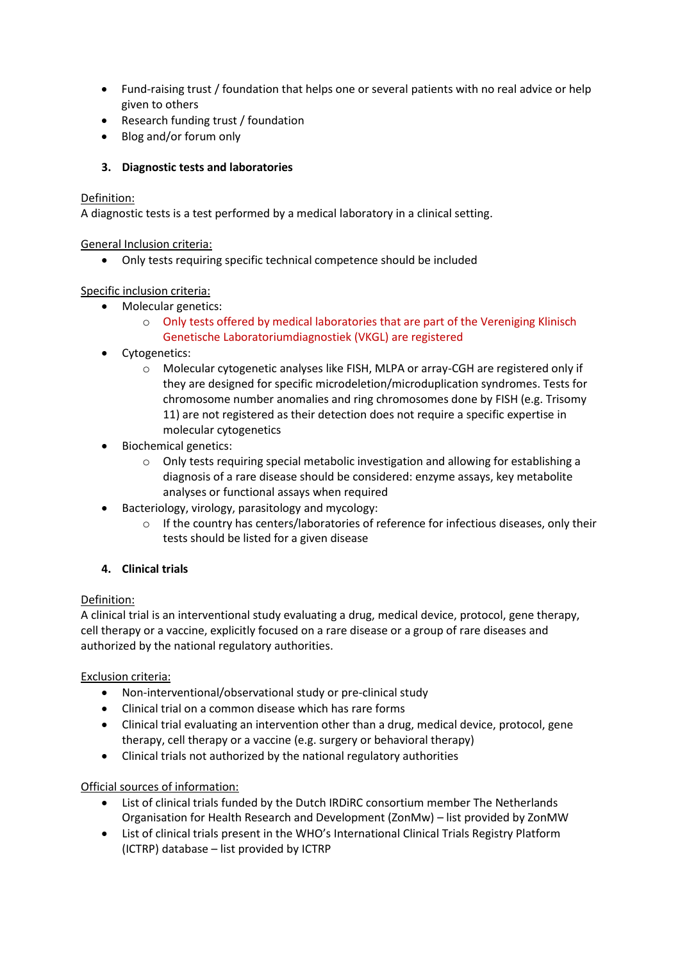- Fund-raising trust / foundation that helps one or several patients with no real advice or help given to others
- Research funding trust / foundation
- Blog and/or forum only

# **3. Diagnostic tests and laboratories**

## Definition:

A diagnostic tests is a test performed by a medical laboratory in a clinical setting.

General Inclusion criteria:

• Only tests requiring specific technical competence should be included

## Specific inclusion criteria:

- Molecular genetics:
	- $\circ$  Only tests offered by medical laboratories that are part of the Vereniging Klinisch Genetische Laboratoriumdiagnostiek (VKGL) are registered
- Cytogenetics:
	- o Molecular cytogenetic analyses like FISH, MLPA or array-CGH are registered only if they are designed for specific microdeletion/microduplication syndromes. Tests for chromosome number anomalies and ring chromosomes done by FISH (e.g. Trisomy 11) are not registered as their detection does not require a specific expertise in molecular cytogenetics
- Biochemical genetics:
	- o Only tests requiring special metabolic investigation and allowing for establishing a diagnosis of a rare disease should be considered: enzyme assays, key metabolite analyses or functional assays when required
- Bacteriology, virology, parasitology and mycology:
	- o If the country has centers/laboratories of reference for infectious diseases, only their tests should be listed for a given disease

# **4. Clinical trials**

# Definition:

A clinical trial is an interventional study evaluating a drug, medical device, protocol, gene therapy, cell therapy or a vaccine, explicitly focused on a rare disease or a group of rare diseases and authorized by the national regulatory authorities.

Exclusion criteria:

- Non-interventional/observational study or pre-clinical study
- Clinical trial on a common disease which has rare forms
- Clinical trial evaluating an intervention other than a drug, medical device, protocol, gene therapy, cell therapy or a vaccine (e.g. surgery or behavioral therapy)
- Clinical trials not authorized by the national regulatory authorities

# Official sources of information:

- List of clinical trials funded by the Dutch IRDiRC consortium member The Netherlands Organisation for Health Research and Development (ZonMw) – list provided by ZonMW
- List of clinical trials present in the WHO's International Clinical Trials Registry Platform (ICTRP) database – list provided by ICTRP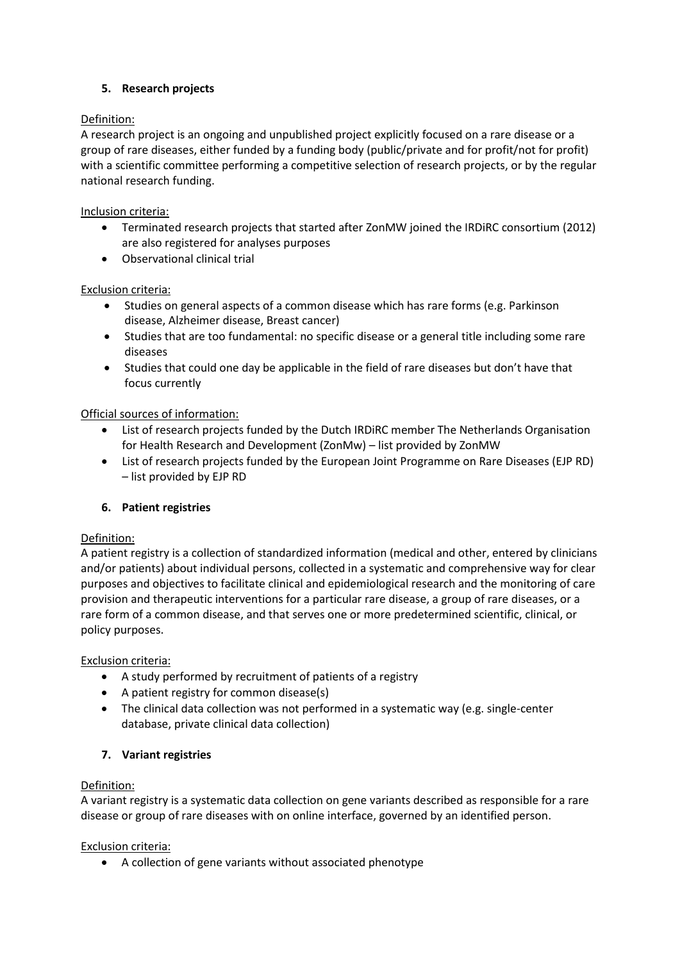## **5. Research projects**

## Definition:

A research project is an ongoing and unpublished project explicitly focused on a rare disease or a group of rare diseases, either funded by a funding body (public/private and for profit/not for profit) with a scientific committee performing a competitive selection of research projects, or by the regular national research funding.

## Inclusion criteria:

- Terminated research projects that started after ZonMW joined the IRDiRC consortium (2012) are also registered for analyses purposes
- Observational clinical trial

## Exclusion criteria:

- Studies on general aspects of a common disease which has rare forms (e.g. Parkinson disease, Alzheimer disease, Breast cancer)
- Studies that are too fundamental: no specific disease or a general title including some rare diseases
- Studies that could one day be applicable in the field of rare diseases but don't have that focus currently

## Official sources of information:

- List of research projects funded by the Dutch IRDiRC member The Netherlands Organisation for Health Research and Development (ZonMw) – list provided by ZonMW
- List of research projects funded by the European Joint Programme on Rare Diseases (EJP RD) – list provided by EJP RD

## **6. Patient registries**

### Definition:

A patient registry is a collection of standardized information (medical and other, entered by clinicians and/or patients) about individual persons, collected in a systematic and comprehensive way for clear purposes and objectives to facilitate clinical and epidemiological research and the monitoring of care provision and therapeutic interventions for a particular rare disease, a group of rare diseases, or a rare form of a common disease, and that serves one or more predetermined scientific, clinical, or policy purposes.

### Exclusion criteria:

- A study performed by recruitment of patients of a registry
- A patient registry for common disease(s)
- The clinical data collection was not performed in a systematic way (e.g. single-center database, private clinical data collection)

## **7. Variant registries**

### Definition:

A variant registry is a systematic data collection on gene variants described as responsible for a rare disease or group of rare diseases with on online interface, governed by an identified person.

### Exclusion criteria:

• A collection of gene variants without associated phenotype